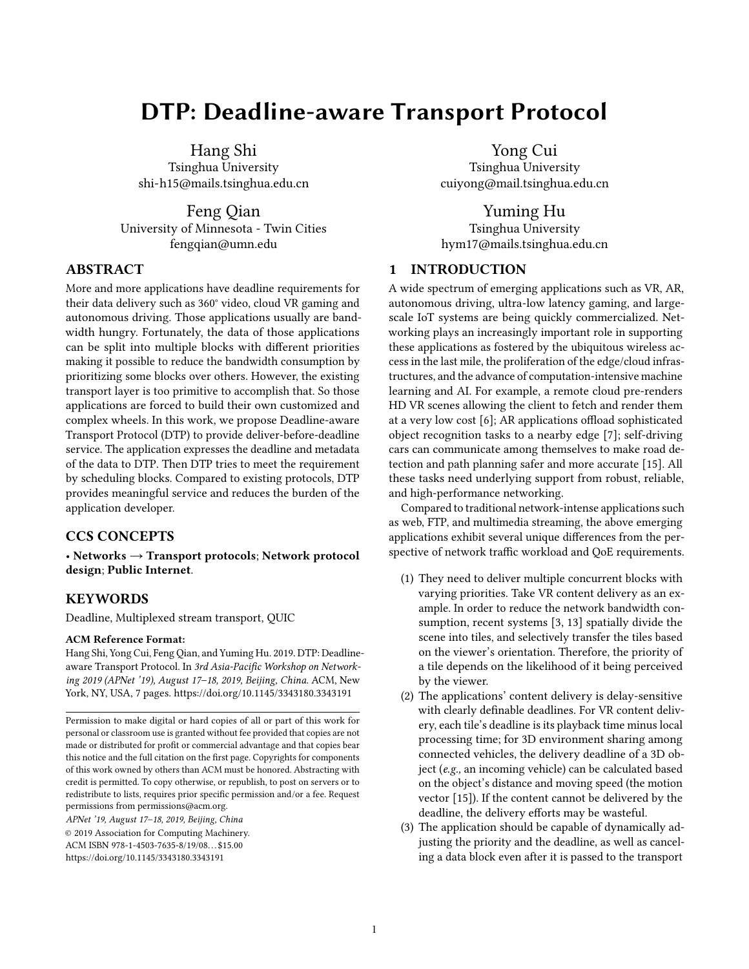# DTP: Deadline-aware Transport Protocol

Hang Shi Tsinghua University shi-h15@mails.tsinghua.edu.cn

Feng Qian University of Minnesota - Twin Cities fengqian@umn.edu

# ABSTRACT

More and more applications have deadline requirements for their data delivery such as 360° video, cloud VR gaming and autonomous driving. Those applications usually are bandwidth hungry. Fortunately, the data of those applications can be split into multiple blocks with different priorities making it possible to reduce the bandwidth consumption by prioritizing some blocks over others. However, the existing transport layer is too primitive to accomplish that. So those applications are forced to build their own customized and complex wheels. In this work, we propose Deadline-aware Transport Protocol (DTP) to provide deliver-before-deadline service. The application expresses the deadline and metadata of the data to DTP. Then DTP tries to meet the requirement by scheduling blocks. Compared to existing protocols, DTP provides meaningful service and reduces the burden of the application developer.

# CCS CONCEPTS

• Networks → Transport protocols; Network protocol design; Public Internet.

# **KEYWORDS**

Deadline, Multiplexed stream transport, QUIC

#### ACM Reference Format:

Hang Shi, Yong Cui, Feng Qian, and Yuming Hu. 2019. DTP: Deadlineaware Transport Protocol. In 3rd Asia-Pacific Workshop on Networking 2019 (APNet '19), August 17–18, 2019, Beijing, China. ACM, New York, NY, USA, [7](#page-6-0) pages.<https://doi.org/10.1145/3343180.3343191>

APNet '19, August 17–18, 2019, Beijing, China © 2019 Association for Computing Machinery. ACM ISBN 978-1-4503-7635-8/19/08. . . \$15.00 <https://doi.org/10.1145/3343180.3343191>

Yong Cui Tsinghua University cuiyong@mail.tsinghua.edu.cn

Yuming Hu Tsinghua University hym17@mails.tsinghua.edu.cn

# 1 INTRODUCTION

A wide spectrum of emerging applications such as VR, AR, autonomous driving, ultra-low latency gaming, and largescale IoT systems are being quickly commercialized. Networking plays an increasingly important role in supporting these applications as fostered by the ubiquitous wireless access in the last mile, the proliferation of the edge/cloud infrastructures, and the advance of computation-intensive machine learning and AI. For example, a remote cloud pre-renders HD VR scenes allowing the client to fetch and render them at a very low cost [\[6\]](#page-6-1); AR applications offload sophisticated object recognition tasks to a nearby edge [\[7\]](#page-6-2); self-driving cars can communicate among themselves to make road detection and path planning safer and more accurate [\[15\]](#page-6-3). All these tasks need underlying support from robust, reliable, and high-performance networking.

Compared to traditional network-intense applications such as web, FTP, and multimedia streaming, the above emerging applications exhibit several unique differences from the perspective of network traffic workload and QoE requirements.

- (1) They need to deliver multiple concurrent blocks with varying priorities. Take VR content delivery as an example. In order to reduce the network bandwidth consumption, recent systems [\[3,](#page-5-0) [13\]](#page-6-4) spatially divide the scene into tiles, and selectively transfer the tiles based on the viewer's orientation. Therefore, the priority of a tile depends on the likelihood of it being perceived by the viewer.
- (2) The applications' content delivery is delay-sensitive with clearly definable deadlines. For VR content delivery, each tile's deadline is its playback time minus local processing time; for 3D environment sharing among connected vehicles, the delivery deadline of a 3D object (e.g., an incoming vehicle) can be calculated based on the object's distance and moving speed (the motion vector [\[15\]](#page-6-3)). If the content cannot be delivered by the deadline, the delivery efforts may be wasteful.
- (3) The application should be capable of dynamically adjusting the priority and the deadline, as well as canceling a data block even after it is passed to the transport

Permission to make digital or hard copies of all or part of this work for personal or classroom use is granted without fee provided that copies are not made or distributed for profit or commercial advantage and that copies bear this notice and the full citation on the first page. Copyrights for components of this work owned by others than ACM must be honored. Abstracting with credit is permitted. To copy otherwise, or republish, to post on servers or to redistribute to lists, requires prior specific permission and/or a fee. Request permissions from permissions@acm.org.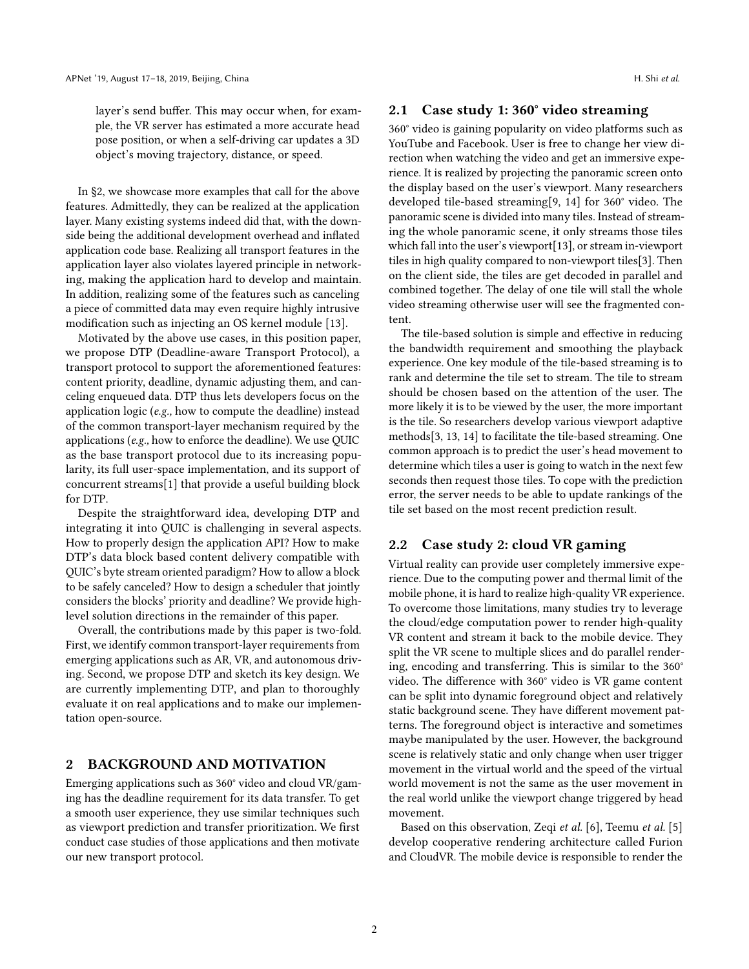layer's send buffer. This may occur when, for example, the VR server has estimated a more accurate head pose position, or when a self-driving car updates a 3D object's moving trajectory, distance, or speed.

In [§2,](#page-1-0) we showcase more examples that call for the above features. Admittedly, they can be realized at the application layer. Many existing systems indeed did that, with the downside being the additional development overhead and inflated application code base. Realizing all transport features in the application layer also violates layered principle in networking, making the application hard to develop and maintain. In addition, realizing some of the features such as canceling a piece of committed data may even require highly intrusive modification such as injecting an OS kernel module [\[13\]](#page-6-4).

Motivated by the above use cases, in this position paper, we propose DTP (Deadline-aware Transport Protocol), a transport protocol to support the aforementioned features: content priority, deadline, dynamic adjusting them, and canceling enqueued data. DTP thus lets developers focus on the application logic (e.g., how to compute the deadline) instead of the common transport-layer mechanism required by the applications (e.g., how to enforce the deadline). We use QUIC as the base transport protocol due to its increasing popularity, its full user-space implementation, and its support of concurrent streams[\[1\]](#page-5-1) that provide a useful building block for DTP.

Despite the straightforward idea, developing DTP and integrating it into QUIC is challenging in several aspects. How to properly design the application API? How to make DTP's data block based content delivery compatible with QUIC's byte stream oriented paradigm? How to allow a block to be safely canceled? How to design a scheduler that jointly considers the blocks' priority and deadline? We provide highlevel solution directions in the remainder of this paper.

Overall, the contributions made by this paper is two-fold. First, we identify common transport-layer requirements from emerging applications such as AR, VR, and autonomous driving. Second, we propose DTP and sketch its key design. We are currently implementing DTP, and plan to thoroughly evaluate it on real applications and to make our implementation open-source.

#### <span id="page-1-0"></span>2 BACKGROUND AND MOTIVATION

Emerging applications such as 360° video and cloud VR/gaming has the deadline requirement for its data transfer. To get a smooth user experience, they use similar techniques such as viewport prediction and transfer prioritization. We first conduct case studies of those applications and then motivate our new transport protocol.

#### 2.1 Case study 1: 360° video streaming

360° video is gaining popularity on video platforms such as YouTube and Facebook. User is free to change her view direction when watching the video and get an immersive experience. It is realized by projecting the panoramic screen onto the display based on the user's viewport. Many researchers developed tile-based streaming[\[9,](#page-6-5) [14\]](#page-6-6) for 360° video. The panoramic scene is divided into many tiles. Instead of streaming the whole panoramic scene, it only streams those tiles which fall into the user's viewport[\[13\]](#page-6-4), or stream in-viewport tiles in high quality compared to non-viewport tiles[\[3\]](#page-5-0). Then on the client side, the tiles are get decoded in parallel and combined together. The delay of one tile will stall the whole video streaming otherwise user will see the fragmented content.

The tile-based solution is simple and effective in reducing the bandwidth requirement and smoothing the playback experience. One key module of the tile-based streaming is to rank and determine the tile set to stream. The tile to stream should be chosen based on the attention of the user. The more likely it is to be viewed by the user, the more important is the tile. So researchers develop various viewport adaptive methods[\[3,](#page-5-0) [13,](#page-6-4) [14\]](#page-6-6) to facilitate the tile-based streaming. One common approach is to predict the user's head movement to determine which tiles a user is going to watch in the next few seconds then request those tiles. To cope with the prediction error, the server needs to be able to update rankings of the tile set based on the most recent prediction result.

#### 2.2 Case study 2: cloud VR gaming

Virtual reality can provide user completely immersive experience. Due to the computing power and thermal limit of the mobile phone, it is hard to realize high-quality VR experience. To overcome those limitations, many studies try to leverage the cloud/edge computation power to render high-quality VR content and stream it back to the mobile device. They split the VR scene to multiple slices and do parallel rendering, encoding and transferring. This is similar to the 360° video. The difference with 360° video is VR game content can be split into dynamic foreground object and relatively static background scene. They have different movement patterns. The foreground object is interactive and sometimes maybe manipulated by the user. However, the background scene is relatively static and only change when user trigger movement in the virtual world and the speed of the virtual world movement is not the same as the user movement in the real world unlike the viewport change triggered by head movement.

Based on this observation, Zeqi et al. [\[6\]](#page-6-1), Teemu et al. [\[5\]](#page-6-7) develop cooperative rendering architecture called Furion and CloudVR. The mobile device is responsible to render the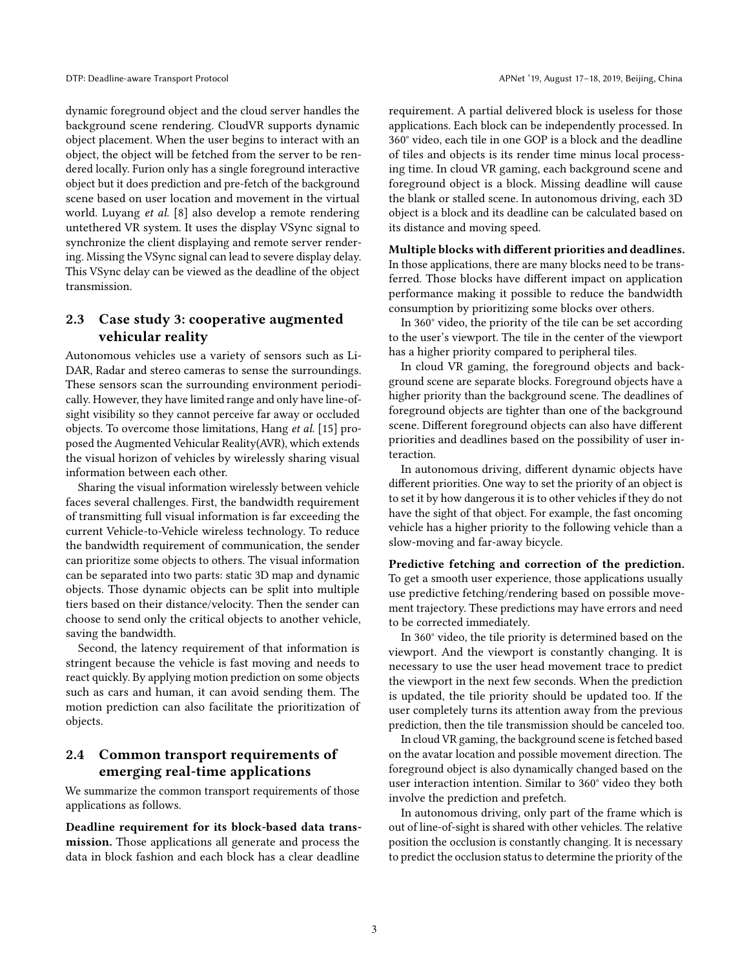dynamic foreground object and the cloud server handles the background scene rendering. CloudVR supports dynamic object placement. When the user begins to interact with an object, the object will be fetched from the server to be rendered locally. Furion only has a single foreground interactive object but it does prediction and pre-fetch of the background scene based on user location and movement in the virtual world. Luyang et al. [\[8\]](#page-6-8) also develop a remote rendering untethered VR system. It uses the display VSync signal to synchronize the client displaying and remote server rendering. Missing the VSync signal can lead to severe display delay. This VSync delay can be viewed as the deadline of the object transmission.

# 2.3 Case study 3: cooperative augmented vehicular reality

Autonomous vehicles use a variety of sensors such as Li-DAR, Radar and stereo cameras to sense the surroundings. These sensors scan the surrounding environment periodically. However, they have limited range and only have line-ofsight visibility so they cannot perceive far away or occluded objects. To overcome those limitations, Hang et al. [\[15\]](#page-6-3) proposed the Augmented Vehicular Reality(AVR), which extends the visual horizon of vehicles by wirelessly sharing visual information between each other.

Sharing the visual information wirelessly between vehicle faces several challenges. First, the bandwidth requirement of transmitting full visual information is far exceeding the current Vehicle-to-Vehicle wireless technology. To reduce the bandwidth requirement of communication, the sender can prioritize some objects to others. The visual information can be separated into two parts: static 3D map and dynamic objects. Those dynamic objects can be split into multiple tiers based on their distance/velocity. Then the sender can choose to send only the critical objects to another vehicle, saving the bandwidth.

Second, the latency requirement of that information is stringent because the vehicle is fast moving and needs to react quickly. By applying motion prediction on some objects such as cars and human, it can avoid sending them. The motion prediction can also facilitate the prioritization of objects.

# <span id="page-2-0"></span>2.4 Common transport requirements of emerging real-time applications

We summarize the common transport requirements of those applications as follows.

Deadline requirement for its block-based data transmission. Those applications all generate and process the data in block fashion and each block has a clear deadline

requirement. A partial delivered block is useless for those applications. Each block can be independently processed. In 360° video, each tile in one GOP is a block and the deadline of tiles and objects is its render time minus local processing time. In cloud VR gaming, each background scene and foreground object is a block. Missing deadline will cause the blank or stalled scene. In autonomous driving, each 3D object is a block and its deadline can be calculated based on its distance and moving speed.

#### Multiple blocks with different priorities and deadlines.

In those applications, there are many blocks need to be transferred. Those blocks have different impact on application performance making it possible to reduce the bandwidth consumption by prioritizing some blocks over others.

In 360° video, the priority of the tile can be set according to the user's viewport. The tile in the center of the viewport has a higher priority compared to peripheral tiles.

In cloud VR gaming, the foreground objects and background scene are separate blocks. Foreground objects have a higher priority than the background scene. The deadlines of foreground objects are tighter than one of the background scene. Different foreground objects can also have different priorities and deadlines based on the possibility of user interaction.

In autonomous driving, different dynamic objects have different priorities. One way to set the priority of an object is to set it by how dangerous it is to other vehicles if they do not have the sight of that object. For example, the fast oncoming vehicle has a higher priority to the following vehicle than a slow-moving and far-away bicycle.

Predictive fetching and correction of the prediction. To get a smooth user experience, those applications usually use predictive fetching/rendering based on possible movement trajectory. These predictions may have errors and need to be corrected immediately.

In 360° video, the tile priority is determined based on the viewport. And the viewport is constantly changing. It is necessary to use the user head movement trace to predict the viewport in the next few seconds. When the prediction is updated, the tile priority should be updated too. If the user completely turns its attention away from the previous prediction, then the tile transmission should be canceled too.

In cloud VR gaming, the background scene is fetched based on the avatar location and possible movement direction. The foreground object is also dynamically changed based on the user interaction intention. Similar to 360° video they both involve the prediction and prefetch.

In autonomous driving, only part of the frame which is out of line-of-sight is shared with other vehicles. The relative position the occlusion is constantly changing. It is necessary to predict the occlusion status to determine the priority of the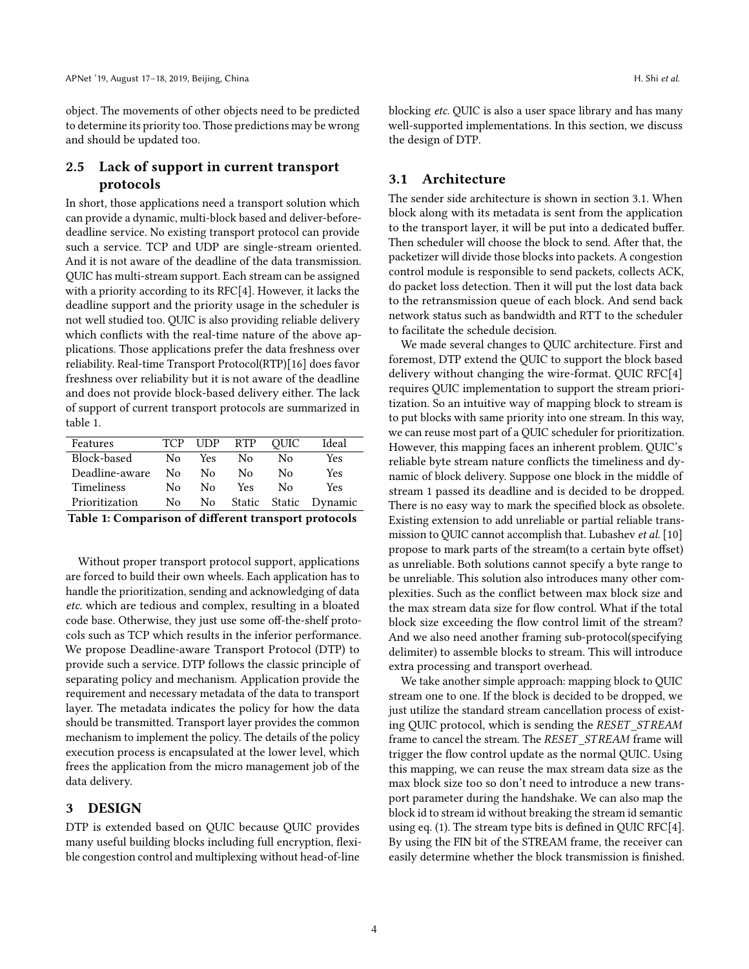object. The movements of other objects need to be predicted to determine its priority too. Those predictions may be wrong and should be updated too.

# 2.5 Lack of support in current transport protocols

In short, those applications need a transport solution which can provide a dynamic, multi-block based and deliver-beforedeadline service. No existing transport protocol can provide such a service. TCP and UDP are single-stream oriented. And it is not aware of the deadline of the data transmission. QUIC has multi-stream support. Each stream can be assigned with a priority according to its RFC[\[4\]](#page-5-2). However, it lacks the deadline support and the priority usage in the scheduler is not well studied too. QUIC is also providing reliable delivery which conflicts with the real-time nature of the above applications. Those applications prefer the data freshness over reliability. Real-time Transport Protocol(RTP)[\[16\]](#page-6-9) does favor freshness over reliability but it is not aware of the deadline and does not provide block-based delivery either. The lack of support of current transport protocols are summarized in table [1.](#page-3-0)

<span id="page-3-0"></span>

| Features       | TCP | UDP | <b>RTP</b> | OUIC   | Ideal   |
|----------------|-----|-----|------------|--------|---------|
| Block-based    | N٥  | Yes | Nο         | Nο     | Yes     |
| Deadline-aware | N٥  | N٥  | Nο         | Nο     | Yes     |
| Timeliness     | N٥  | N٥  | Yes.       | Nο     | Yes     |
| Prioritization | Nο  | No. | Static     | Static | Dynamic |
|                |     |     |            |        |         |

Table 1: Comparison of different transport protocols

Without proper transport protocol support, applications are forced to build their own wheels. Each application has to handle the prioritization, sending and acknowledging of data etc. which are tedious and complex, resulting in a bloated code base. Otherwise, they just use some off-the-shelf protocols such as TCP which results in the inferior performance. We propose Deadline-aware Transport Protocol (DTP) to provide such a service. DTP follows the classic principle of separating policy and mechanism. Application provide the requirement and necessary metadata of the data to transport layer. The metadata indicates the policy for how the data should be transmitted. Transport layer provides the common mechanism to implement the policy. The details of the policy execution process is encapsulated at the lower level, which frees the application from the micro management job of the data delivery.

#### 3 DESIGN

DTP is extended based on QUIC because QUIC provides many useful building blocks including full encryption, flexible congestion control and multiplexing without head-of-line

blocking etc. QUIC is also a user space library and has many well-supported implementations. In this section, we discuss the design of DTP.

# 3.1 Architecture

The sender side architecture is shown in section [3.1.](#page-4-0) When block along with its metadata is sent from the application to the transport layer, it will be put into a dedicated buffer. Then scheduler will choose the block to send. After that, the packetizer will divide those blocks into packets. A congestion control module is responsible to send packets, collects ACK, do packet loss detection. Then it will put the lost data back to the retransmission queue of each block. And send back network status such as bandwidth and RTT to the scheduler to facilitate the schedule decision.

We made several changes to QUIC architecture. First and foremost, DTP extend the QUIC to support the block based delivery without changing the wire-format. QUIC RFC[\[4\]](#page-5-2) requires QUIC implementation to support the stream prioritization. So an intuitive way of mapping block to stream is to put blocks with same priority into one stream. In this way, we can reuse most part of a QUIC scheduler for prioritization. However, this mapping faces an inherent problem. QUIC's reliable byte stream nature conflicts the timeliness and dynamic of block delivery. Suppose one block in the middle of stream 1 passed its deadline and is decided to be dropped. There is no easy way to mark the specified block as obsolete. Existing extension to add unreliable or partial reliable trans-mission to QUIC cannot accomplish that. Lubashev et al. [\[10\]](#page-6-10) propose to mark parts of the stream(to a certain byte offset) as unreliable. Both solutions cannot specify a byte range to be unreliable. This solution also introduces many other complexities. Such as the conflict between max block size and the max stream data size for flow control. What if the total block size exceeding the flow control limit of the stream? And we also need another framing sub-protocol(specifying delimiter) to assemble blocks to stream. This will introduce extra processing and transport overhead.

We take another simple approach: mapping block to QUIC stream one to one. If the block is decided to be dropped, we just utilize the standard stream cancellation process of existing QUIC protocol, which is sending the RESET\_STREAM frame to cancel the stream. The RESET STREAM frame will trigger the flow control update as the normal QUIC. Using this mapping, we can reuse the max stream data size as the max block size too so don't need to introduce a new transport parameter during the handshake. We can also map the block id to stream id without breaking the stream id semantic using eq. [\(1\)](#page-4-1). The stream type bits is defined in QUIC RFC[\[4\]](#page-5-2). By using the FIN bit of the STREAM frame, the receiver can easily determine whether the block transmission is finished.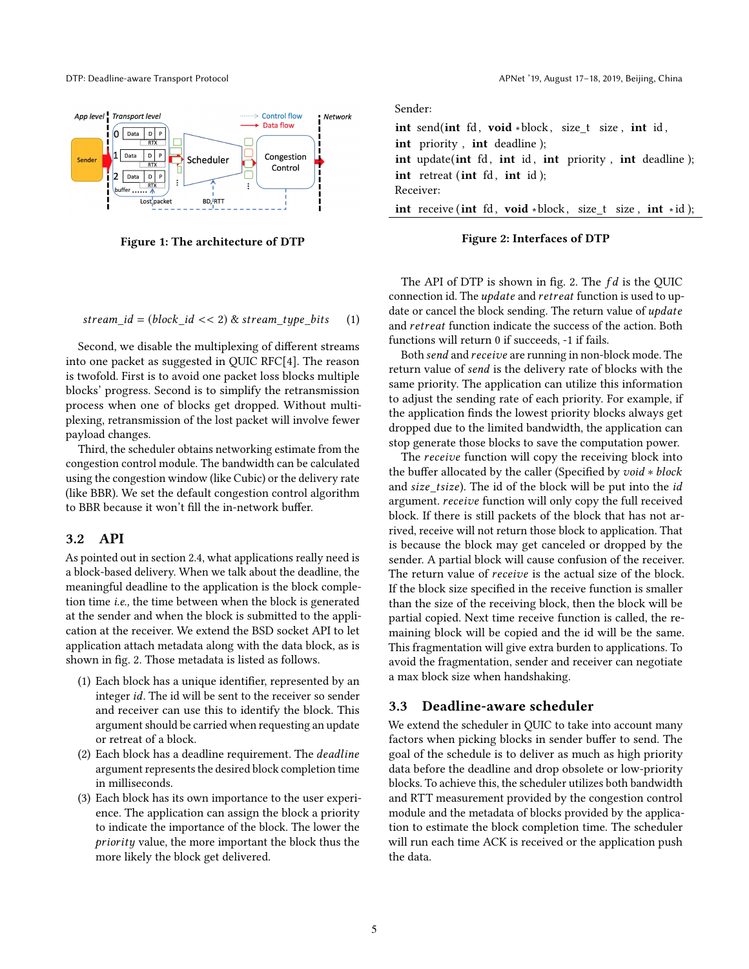<span id="page-4-0"></span>

Figure 1: The architecture of DTP

<span id="page-4-1"></span>stream\_id = (block\_id << 2) & stream\_type\_bits (1)

Second, we disable the multiplexing of different streams into one packet as suggested in QUIC RFC[\[4\]](#page-5-2). The reason is twofold. First is to avoid one packet loss blocks multiple blocks' progress. Second is to simplify the retransmission process when one of blocks get dropped. Without multiplexing, retransmission of the lost packet will involve fewer payload changes.

Third, the scheduler obtains networking estimate from the congestion control module. The bandwidth can be calculated using the congestion window (like Cubic) or the delivery rate (like BBR). We set the default congestion control algorithm to BBR because it won't fill the in-network buffer.

# 3.2 API

As pointed out in section [2.4,](#page-2-0) what applications really need is a block-based delivery. When we talk about the deadline, the meaningful deadline to the application is the block completion time i.e., the time between when the block is generated at the sender and when the block is submitted to the application at the receiver. We extend the BSD socket API to let application attach metadata along with the data block, as is shown in fig. [2.](#page-4-2) Those metadata is listed as follows.

- (1) Each block has a unique identifier, represented by an integer id. The id will be sent to the receiver so sender and receiver can use this to identify the block. This argument should be carried when requesting an update or retreat of a block.
- (2) Each block has a deadline requirement. The deadline argument represents the desired block completion time in milliseconds.
- (3) Each block has its own importance to the user experience. The application can assign the block a priority to indicate the importance of the block. The lower the priority value, the more important the block thus the more likely the block get delivered.

DTP: Deadline-aware Transport Protocol APNet '19, August 17–18, 2019, Beijing, China

<span id="page-4-2"></span>Sender:

int send(int fd, void \*block, size  $t$  size, int id, int priority , int deadline ); int update(int fd, int id, int priority, int deadline); int retreat (int  $fd$ , int  $id$ ); Receiver: int receive (int fd, void ∗block, size\_t size, int ∗id);

#### Figure 2: Interfaces of DTP

The API of DTP is shown in fig. [2.](#page-4-2) The  $fd$  is the QUIC connection id. The update and retreat function is used to update or cancel the block sending. The return value of update and retreat function indicate the success of the action. Both functions will return 0 if succeeds, -1 if fails.

Both send and receive are running in non-block mode. The return value of send is the delivery rate of blocks with the same priority. The application can utilize this information to adjust the sending rate of each priority. For example, if the application finds the lowest priority blocks always get dropped due to the limited bandwidth, the application can stop generate those blocks to save the computation power.

The receive function will copy the receiving block into the buffer allocated by the caller (Specified by void <sup>∗</sup> block and size\_tsize). The id of the block will be put into the id argument. receive function will only copy the full received block. If there is still packets of the block that has not arrived, receive will not return those block to application. That is because the block may get canceled or dropped by the sender. A partial block will cause confusion of the receiver. The return value of receive is the actual size of the block. If the block size specified in the receive function is smaller than the size of the receiving block, then the block will be partial copied. Next time receive function is called, the remaining block will be copied and the id will be the same. This fragmentation will give extra burden to applications. To avoid the fragmentation, sender and receiver can negotiate a max block size when handshaking.

# 3.3 Deadline-aware scheduler

We extend the scheduler in QUIC to take into account many factors when picking blocks in sender buffer to send. The goal of the schedule is to deliver as much as high priority data before the deadline and drop obsolete or low-priority blocks. To achieve this, the scheduler utilizes both bandwidth and RTT measurement provided by the congestion control module and the metadata of blocks provided by the application to estimate the block completion time. The scheduler will run each time ACK is received or the application push the data.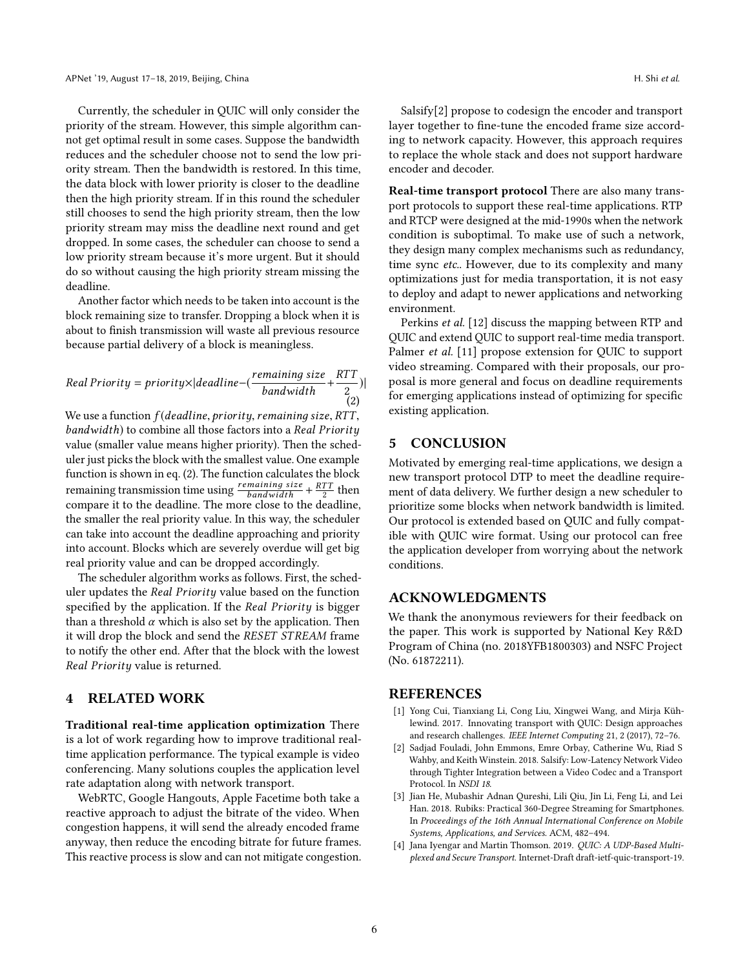Currently, the scheduler in QUIC will only consider the priority of the stream. However, this simple algorithm cannot get optimal result in some cases. Suppose the bandwidth reduces and the scheduler choose not to send the low priority stream. Then the bandwidth is restored. In this time, the data block with lower priority is closer to the deadline then the high priority stream. If in this round the scheduler still chooses to send the high priority stream, then the low priority stream may miss the deadline next round and get dropped. In some cases, the scheduler can choose to send a low priority stream because it's more urgent. But it should do so without causing the high priority stream missing the deadline.

Another factor which needs to be taken into account is the block remaining size to transfer. Dropping a block when it is about to finish transmission will waste all previous resource because partial delivery of a block is meaningless.

<span id="page-5-3"></span>Real Priority = priority×|deadline-(
$$
\frac{remaining size}{bandwidth} + \frac{RTT}{2}
$$
)|  
(2)

We use a function  $f(deadline, priority, remaining size, RTT,$ bandwidth) to combine all those factors into a Real Priority value (smaller value means higher priority). Then the scheduler just picks the block with the smallest value. One example function is shown in eq. [\(2\)](#page-5-3). The function calculates the block remaining transmission time using  $\frac{remaining size}{band width} + \frac{R11}{2}$  then<br>compare it to the deadline. The more close to the deadline compare it to the deadline. The more close to the deadline, the smaller the real priority value. In this way, the scheduler can take into account the deadline approaching and priority into account. Blocks which are severely overdue will get big real priority value and can be dropped accordingly.

The scheduler algorithm works as follows. First, the scheduler updates the Real Priority value based on the function specified by the application. If the Real Priority is bigger than a threshold  $\alpha$  which is also set by the application. Then it will drop the block and send the RESET STREAM frame to notify the other end. After that the block with the lowest Real Priority value is returned.

#### 4 RELATED WORK

Traditional real-time application optimization There is a lot of work regarding how to improve traditional realtime application performance. The typical example is video conferencing. Many solutions couples the application level rate adaptation along with network transport.

WebRTC, Google Hangouts, Apple Facetime both take a reactive approach to adjust the bitrate of the video. When congestion happens, it will send the already encoded frame anyway, then reduce the encoding bitrate for future frames. This reactive process is slow and can not mitigate congestion.

Salsify[\[2\]](#page-5-4) propose to codesign the encoder and transport layer together to fine-tune the encoded frame size according to network capacity. However, this approach requires to replace the whole stack and does not support hardware encoder and decoder.

Real-time transport protocol There are also many transport protocols to support these real-time applications. RTP and RTCP were designed at the mid-1990s when the network condition is suboptimal. To make use of such a network, they design many complex mechanisms such as redundancy, time sync etc.. However, due to its complexity and many optimizations just for media transportation, it is not easy to deploy and adapt to newer applications and networking environment.

Perkins et al. [\[12\]](#page-6-11) discuss the mapping between RTP and QUIC and extend QUIC to support real-time media transport. Palmer *et al.* [\[11\]](#page-6-12) propose extension for QUIC to support video streaming. Compared with their proposals, our proposal is more general and focus on deadline requirements for emerging applications instead of optimizing for specific existing application.

# 5 CONCLUSION

Motivated by emerging real-time applications, we design a new transport protocol DTP to meet the deadline requirement of data delivery. We further design a new scheduler to prioritize some blocks when network bandwidth is limited. Our protocol is extended based on QUIC and fully compatible with QUIC wire format. Using our protocol can free the application developer from worrying about the network conditions.

# ACKNOWLEDGMENTS

We thank the anonymous reviewers for their feedback on the paper. This work is supported by National Key R&D Program of China (no. 2018YFB1800303) and NSFC Project (No. 61872211).

#### REFERENCES

- <span id="page-5-1"></span>[1] Yong Cui, Tianxiang Li, Cong Liu, Xingwei Wang, and Mirja Kühlewind. 2017. Innovating transport with QUIC: Design approaches and research challenges. IEEE Internet Computing 21, 2 (2017), 72–76.
- <span id="page-5-4"></span>[2] Sadjad Fouladi, John Emmons, Emre Orbay, Catherine Wu, Riad S Wahby, and Keith Winstein. 2018. Salsify: Low-Latency Network Video through Tighter Integration between a Video Codec and a Transport Protocol. In NSDI 18.
- <span id="page-5-0"></span>[3] Jian He, Mubashir Adnan Qureshi, Lili Qiu, Jin Li, Feng Li, and Lei Han. 2018. Rubiks: Practical 360-Degree Streaming for Smartphones. In Proceedings of the 16th Annual International Conference on Mobile Systems, Applications, and Services. ACM, 482–494.
- <span id="page-5-2"></span>[4] Jana Iyengar and Martin Thomson. 2019. QUIC: A UDP-Based Multiplexed and Secure Transport. Internet-Draft draft-ietf-quic-transport-19.